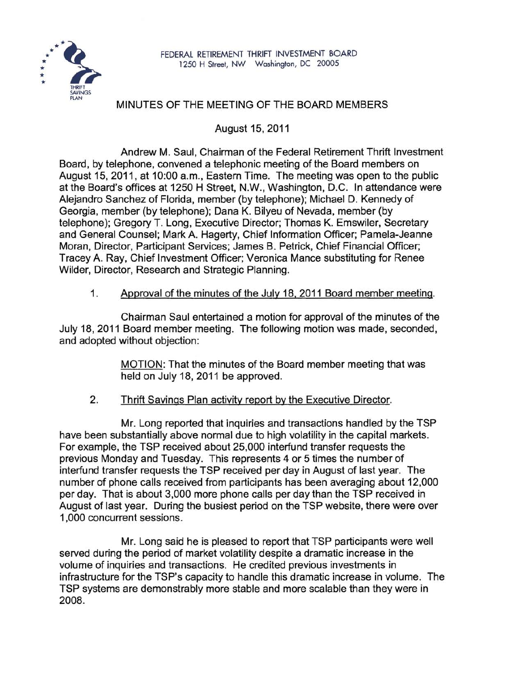

## MINUTES OF THE MEETING OF THE BOARD MEMBERS

August 15, 2011

Andrew M. Saul, Chairman of the Federal Retirement Thrift Investment Board, by telephone, convened a telephonic meeting of the Board members on August 15, 2011, at 10:00 a.m., Eastern Time. The meeting was open to the public at the Board's offices at 1250 H Street, N.W., Washington, D.C. In attendance were Alejandro Sanchez of Florida, member (by telephone); Michael D. Kennedy of Georgia, member (by telephone); Dana K. Bilyeu of Nevada, member (by telephone); Gregory T. Long, Executive Director; Thomas K. Emswiler, Secretary and General Counsel; Mark A. Hagerty, Chief Information Officer; Pamela-Jeanne Moran, Director, Participant Services; James B. Petrick, Chief Financial Officer; Tracey A. Ray, Chief Investment Officer; Veronica Mance substituting for Renee Wilder, Director, Research and Strategic Planning.

1. Approval of the minutes of the July 18, 2011 Board member meeting.

Chairman Saul entertained a motion for approval of the minutes of the July 18, 2011 Board member meeting. The following motion was made, seconded, and adopted without objection:

> MOTION: That the minutes of the Board member meeting that was held on July 18, 2011 be approved.

2. Thrift Savings Plan activity report by the Executive Director.

Mr. Long reported that inquiries and transactions handled by the TSP have been substantially above normal due to high volatility in the capital markets. For example, the TSP received about 25,000 interfund transfer requests the previous Monday and Tuesday. This represents 4 or 5 times the number of interfund transfer requests the TSP received per day in August of last year. The number of phone calls received from participants has been averaging about 12,000 per day. That is about 3,000 more phone calls per day than the TSP received in August of last year. During the busiest period on the TSP website, there were over 1,000 concurrent sessions.

Mr. Long said he is pleased to report that TSP participants were well served during the period of market volatility despite a dramatic increase in the volume of inquiries and transactions. He credited previous investments in infrastructure for the TSP's capacity to handle this dramatic increase in volume. The TSP systems are demonstrably more stable and more scalable than they were in 2008.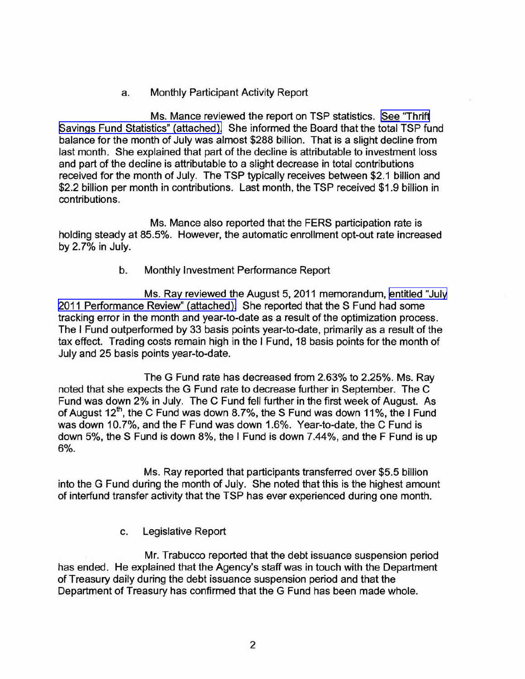## a. Monthly Participant Activity Report

Ms. Mance reviewed the report on TSP statistics. See ["Thrift](http://www.frtib.gov/pdf/minutes/MM-2011Aug-Att1.pdf) Savings Fund Statistics" [\(attached\).](http://www.frtib.gov/pdf/minutes/MM-2011Aug-Att1.pdf) She informed the Board that the total TSP fund balance for the month of July was almost \$288 billion. That is a slight decline from last month. She explained that part of the decline is attributable to investment loss and part of the decline is attributable to a slight decrease in total contributions received for the month of July. The TSP typically receives between \$2.1 billion and \$2.2 billion per month in contributions. Last month, the TSP received \$1.9 billion in contributions.

Ms. Mance also reported that the FERS participation rate is holding steady at 85.5%. However, the automatic enrollment opt-out rate increased by 2.7% in July.

## b. Monthly Investment Performance Report

Ms. Ray reviewed the August 5, 2011 memorandum, [entitled](http://www.frtib.gov/pdf/minutes/MM-2011Aug-Att2.pdf) "July 2011 [Performance](http://www.frtib.gov/pdf/minutes/MM-2011Aug-Att2.pdf) Review" (attached). She reported that the S Fund had some tracking error in the month and year-to-date as a result of the optimization process. The I Fund outperformed by 33 basis points year-to-date, primarily as a result of the tax effect. Trading costs remain high in the I Fund, 18 basis points for the month of July and 25 basis points year-to-date.

The G Fund rate has decreased from 2.63% to 2.25%. Ms. Ray noted that she expects the G Fund rate to decrease further in September. The C Fund was down 2% in July. The C Fund fell further in the first week of August. As of August  $12<sup>th</sup>$ , the C Fund was down 8.7%, the S Fund was down 11%, the I Fund of August  $12<sup>th</sup>$ , the C Fund was down 8.7%, the S Fund was down 11%, the I Fund was down 10.7%, and the F Fund was down 1.6%. Year-to-date, the C Fund is down 5%, the S Fund is down 8%, the I Fund is down 7.44%, and the F Fund is up 6%.

Ms. Ray reported that participants transferred over \$5.5 billion into the G Fund during the month of July. She noted that this is the highest amount of interfund transfer activity that the TSP has ever experienced during one month.

c. Legislative Report

Mr. Trabucco reported that the debt issuance suspension period has ended. He explained that the Agency's staff was in touch with the Department of Treasury daily during the debt issuance suspension period and that the Department of Treasury has confirmed that the G Fund has been made whole.